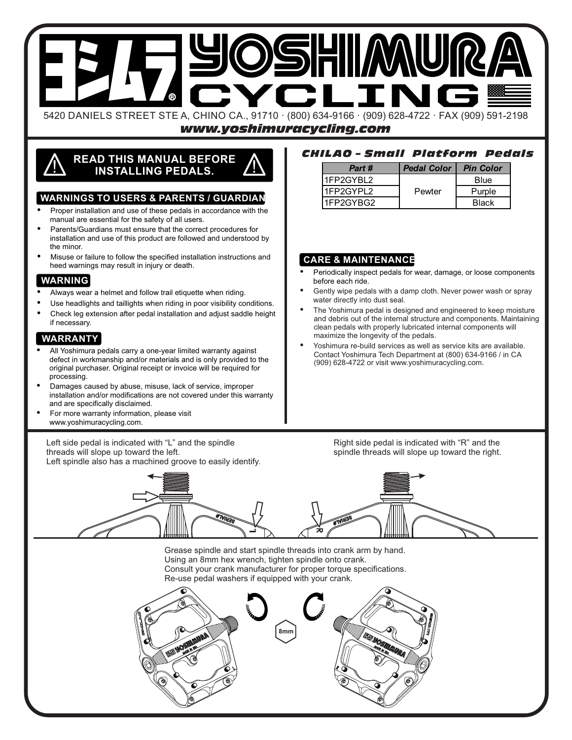

*www.yoshimuracycling.com*

# **READ THIS MANUAL BEFORE** ! **INSTALLING PEDALS.** !

## **WARNINGS TO USERS & PARENTS / GUARDIAN**

- Proper installation and use of these pedals in accordance with the manual are essential for the safety of all users.
- Parents/Guardians must ensure that the correct procedures for installation and use of this product are followed and understood by the minor.
- Misuse or failure to follow the specified installation instructions and heed warnings may result in injury or death.

# **WARNING**

- Always wear a helmet and follow trail etiquette when riding.
- Use headlights and taillights when riding in poor visibility conditions.
- Check leg extension after pedal installation and adjust saddle height if necessary.

#### **WARRANTY**

- All Yoshimura pedals carry a one-year limited warranty against defect in workmanship and/or materials and is only provided to the original purchaser. Original receipt or invoice will be required for processing.
- Damages caused by abuse, misuse, lack of service, improper installation and/or modifications are not covered under this warranty and are specifically disclaimed.
- For more warranty information, please visit www.yoshimuracycling.com.

Left side pedal is indicated with "L" and the spindle threads will slope up toward the left. Left spindle also has a machined groove to easily identify.

# *CHILAO – Small Platform Pedals*

| Part #    | <b>Pedal Color   Pin Color</b> |                        |
|-----------|--------------------------------|------------------------|
| 1FP2GYBL2 |                                | Blue                   |
| 1FP2GYPL2 | Pewter                         | Purple<br><b>Black</b> |
| 1FP2GYBG2 |                                |                        |

## **CARE & MAINTENANCE**

- Periodically inspect pedals for wear, damage, or loose components before each ride.
- Gently wipe pedals with a damp cloth. Never power wash or spray water directly into dust seal.
- The Yoshimura pedal is designed and engineered to keep moisture and debris out of the internal structure and components. Maintaining clean pedals with properly lubricated internal components will maximize the longevity of the pedals.
- Yoshimura re-build services as well as service kits are available. Contact Yoshimura Tech Department at (800) 634-9166 / in CA (909) 628-4722 or visit www.yoshimuracycling.com.

Right side pedal is indicated with "R" and the spindle threads will slope up toward the right.